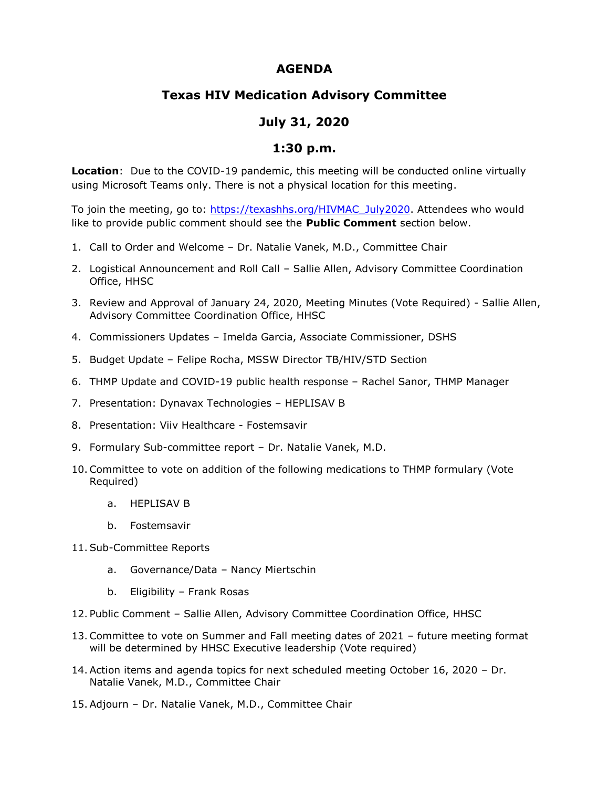## **AGENDA**

## **Texas HIV Medication Advisory Committee**

## **July 31, 2020**

## **1:30 p.m.**

**Location**: Due to the COVID-19 pandemic, this meeting will be conducted online virtually using Microsoft Teams only. There is not a physical location for this meeting.

To join the meeting, go to: [https://texashhs.org/HIVMAC\\_July2020.](https://texashhs.org/HIVMAC_July2020) Attendees who would like to provide public comment should see the **Public Comment** section below.

- 1. Call to Order and Welcome Dr. Natalie Vanek, M.D., Committee Chair
- 2. Logistical Announcement and Roll Call Sallie Allen, Advisory Committee Coordination Office, HHSC
- 3. Review and Approval of January 24, 2020, Meeting Minutes (Vote Required) Sallie Allen, Advisory Committee Coordination Office, HHSC
- 4. Commissioners Updates Imelda Garcia, Associate Commissioner, DSHS
- 5. Budget Update Felipe Rocha, MSSW Director TB/HIV/STD Section
- 6. THMP Update and COVID-19 public health response Rachel Sanor, THMP Manager
- 7. Presentation: Dynavax Technologies HEPLISAV B
- 8. Presentation: Viiv Healthcare Fostemsavir
- 9. Formulary Sub-committee report Dr. Natalie Vanek, M.D.
- 10.Committee to vote on addition of the following medications to THMP formulary (Vote Required)
	- a. HEPLISAV B
	- b. Fostemsavir
- 11.Sub-Committee Reports
	- a. Governance/Data Nancy Miertschin
	- b. Eligibility Frank Rosas
- 12. Public Comment Sallie Allen, Advisory Committee Coordination Office, HHSC
- 13.Committee to vote on Summer and Fall meeting dates of 2021 future meeting format will be determined by HHSC Executive leadership (Vote required)
- 14.Action items and agenda topics for next scheduled meeting October 16, 2020 Dr. Natalie Vanek, M.D., Committee Chair
- 15.Adjourn Dr. Natalie Vanek, M.D., Committee Chair